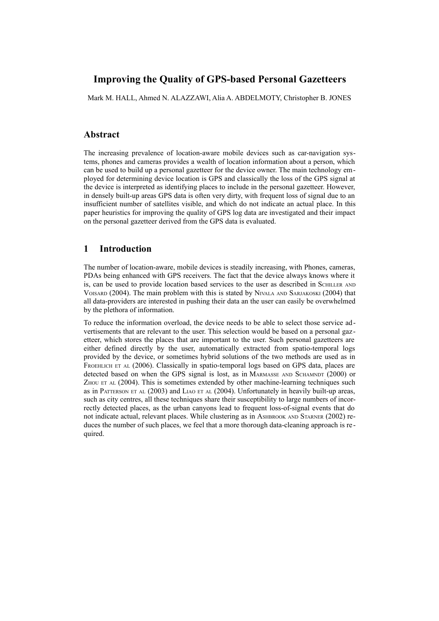# **Improving the Quality of GPS-based Personal Gazetteers**

Mark M. HALL, Ahmed N. ALAZZAWI, Alia A. ABDELMOTY, Christopher B. JONES

### **Abstract**

The increasing prevalence of location-aware mobile devices such as car-navigation systems, phones and cameras provides a wealth of location information about a person, which can be used to build up a personal gazetteer for the device owner. The main technology employed for determining device location is GPS and classically the loss of the GPS signal at the device is interpreted as identifying places to include in the personal gazetteer. However, in densely built-up areas GPS data is often very dirty, with frequent loss of signal due to an insufficient number of satellites visible, and which do not indicate an actual place. In this paper heuristics for improving the quality of GPS log data are investigated and their impact on the personal gazetteer derived from the GPS data is evaluated.

## **1 Introduction**

The number of location-aware, mobile devices is steadily increasing, with Phones, cameras, PDAs being enhanced with GPS receivers. The fact that the device always knows where it is, can be used to provide location based services to the user as described in SCHILLER AND VOISARD (2004). The main problem with this is stated by NIVALA AND SARJAKOSKI (2004) that all data-providers are interested in pushing their data an the user can easily be overwhelmed by the plethora of information.

To reduce the information overload, the device needs to be able to select those service advertisements that are relevant to the user. This selection would be based on a personal gazetteer, which stores the places that are important to the user. Such personal gazetteers are either defined directly by the user, automatically extracted from spatio-temporal logs provided by the device, or sometimes hybrid solutions of the two methods are used as in FROEHLICH ET AL (2006). Classically in spatio-temporal logs based on GPS data, places are detected based on when the GPS signal is lost, as in MARMASSE AND SCHAMNDT (2000) or ZHOU ET AL (2004). This is sometimes extended by other machine-learning techniques such as in PATTERSON ET AL (2003) and LIAO ET AL (2004). Unfortunately in heavily built-up areas, such as city centres, all these techniques share their susceptibility to large numbers of incorrectly detected places, as the urban canyons lead to frequent loss-of-signal events that do not indicate actual, relevant places. While clustering as in ASHBROOK AND STARNER (2002) reduces the number of such places, we feel that a more thorough data-cleaning approach is re quired.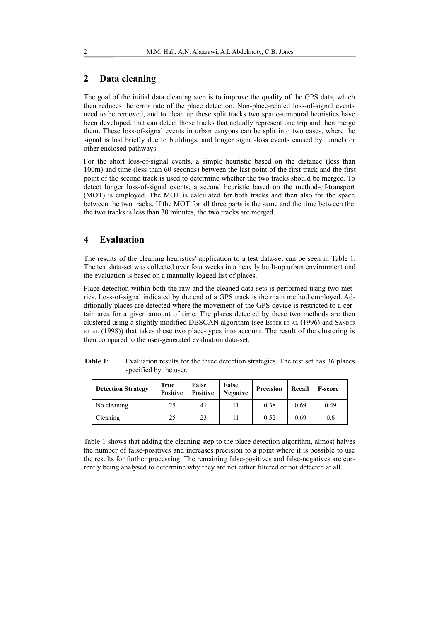# **2 Data cleaning**

The goal of the initial data cleaning step is to improve the quality of the GPS data, which then reduces the error rate of the place detection. Non-place-related loss-of-signal events need to be removed, and to clean up these split tracks two spatio-temporal heuristics have been developed, that can detect those tracks that actually represent one trip and then merge them. These loss-of-signal events in urban canyons can be split into two cases, where the signal is lost briefly due to buildings, and longer signal-loss events caused by tunnels or other enclosed pathways.

For the short loss-of-signal events, a simple heuristic based on the distance (less than 100m) and time (less than 60 seconds) between the last point of the first track and the first point of the second track is used to determine whether the two tracks should be merged. To detect longer loss-of-signal events, a second heuristic based on the method-of-transport (MOT) is employed. The MOT is calculated for both tracks and then also for the space between the two tracks. If the MOT for all three parts is the same and the time between the the two tracks is less than 30 minutes, the two tracks are merged.

## **4 Evaluation**

The results of the cleaning heuristics' application to a test data-set can be seen in [Table 1.](#page-1-0) The test data-set was collected over four weeks in a heavily built-up urban environment and the evaluation is based on a manually logged list of places.

Place detection within both the raw and the cleaned data-sets is performed using two metrics. Loss-of-signal indicated by the end of a GPS track is the main method employed. Additionally places are detected where the movement of the GPS device is restricted to a certain area for a given amount of time. The places detected by these two methods are then clustered using a slightly modified DBSCAN algorithm (see ESTER ET AL (1996) and SANDER  $ETAL (1998)$ ) that takes these two place-types into account. The result of the clustering is then compared to the user-generated evaluation data-set.

<span id="page-1-0"></span>

| Table 1: | Evaluation results for the three detection strategies. The test set has 36 places |
|----------|-----------------------------------------------------------------------------------|
|          | specified by the user.                                                            |

| <b>Detection Strategy</b> | <b>True</b><br><b>Positive</b> | False<br><b>Positive</b> | False<br><b>Negative</b> | Precision | Recall | <b>F-score</b> |
|---------------------------|--------------------------------|--------------------------|--------------------------|-----------|--------|----------------|
| No cleaning               | 25                             | 41                       |                          | 0.38      | 0.69   | 0.49           |
| Cleaning                  | 25                             | 23                       |                          | 0.52      | 0.69   | 0.6            |

[Table 1](#page-1-0) shows that adding the cleaning step to the place detection algorithm, almost halves the number of false-positives and increases precision to a point where it is possible to use the results for further processing. The remaining false-positives and false-negatives are currently being analysed to determine why they are not either filtered or not detected at all.

2